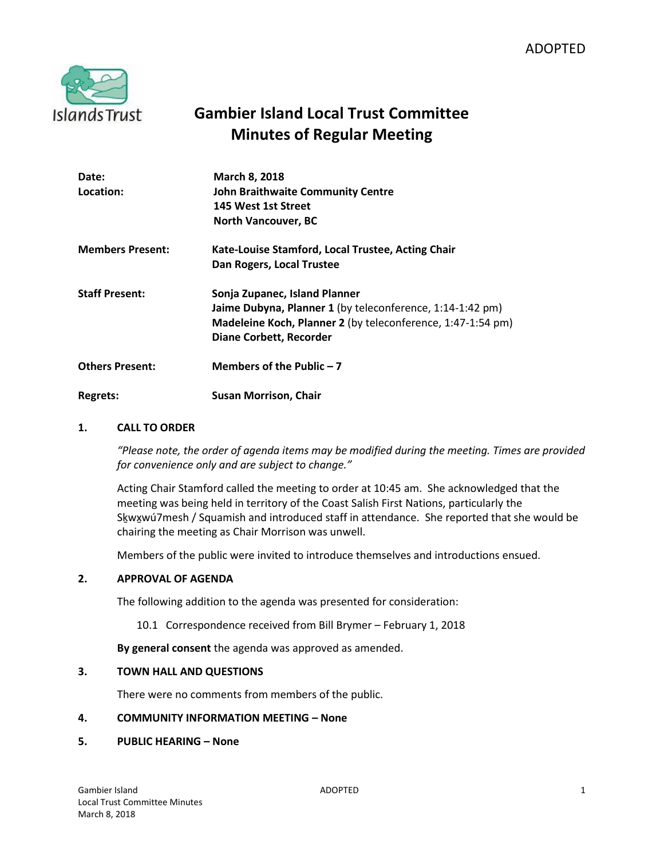

# **Gambier Island Local Trust Committee Minutes of Regular Meeting**

| Date:<br>Location:      | <b>March 8, 2018</b><br><b>John Braithwaite Community Centre</b><br>145 West 1st Street<br><b>North Vancouver, BC</b>                                                                       |
|-------------------------|---------------------------------------------------------------------------------------------------------------------------------------------------------------------------------------------|
| <b>Members Present:</b> | Kate-Louise Stamford, Local Trustee, Acting Chair<br>Dan Rogers, Local Trustee                                                                                                              |
| <b>Staff Present:</b>   | Sonja Zupanec, Island Planner<br>Jaime Dubyna, Planner 1 (by teleconference, 1:14-1:42 pm)<br>Madeleine Koch, Planner 2 (by teleconference, 1:47-1:54 pm)<br><b>Diane Corbett, Recorder</b> |
| <b>Others Present:</b>  | Members of the Public $-7$                                                                                                                                                                  |
| Regrets:                | <b>Susan Morrison, Chair</b>                                                                                                                                                                |

## **1. CALL TO ORDER**

*"Please note, the order of agenda items may be modified during the meeting. Times are provided for convenience only and are subject to change."*

Acting Chair Stamford called the meeting to order at 10:45 am. She acknowledged that the meeting was being held in territory of the Coast Salish First Nations, particularly the Skwxwú7mesh / Squamish and introduced staff in attendance. She reported that she would be chairing the meeting as Chair Morrison was unwell.

Members of the public were invited to introduce themselves and introductions ensued.

#### **2. APPROVAL OF AGENDA**

The following addition to the agenda was presented for consideration:

10.1 Correspondence received from Bill Brymer – February 1, 2018

**By general consent** the agenda was approved as amended.

#### **3. TOWN HALL AND QUESTIONS**

There were no comments from members of the public.

## **4. COMMUNITY INFORMATION MEETING – None**

#### **5. PUBLIC HEARING – None**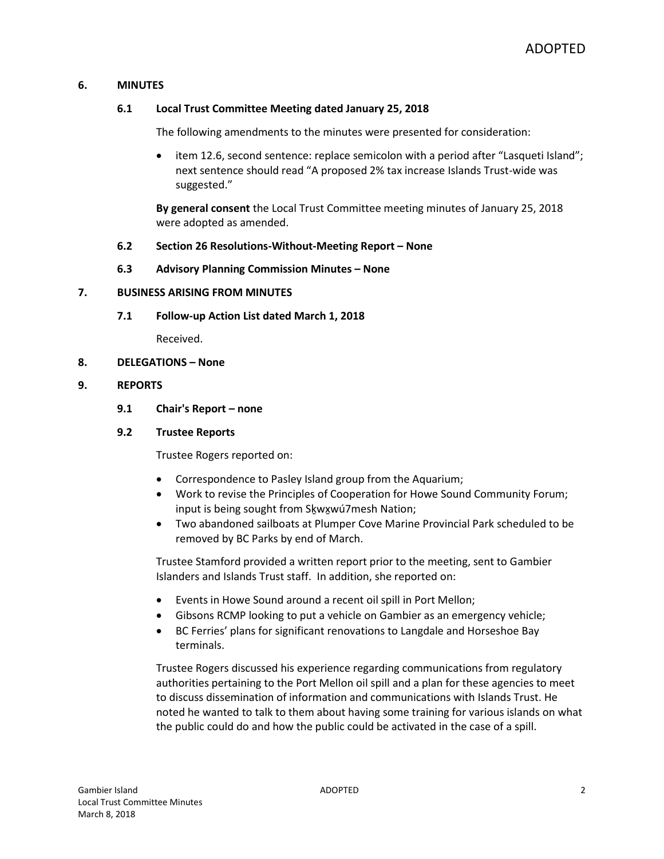## **6. MINUTES**

#### **6.1 Local Trust Committee Meeting dated January 25, 2018**

The following amendments to the minutes were presented for consideration:

 item 12.6, second sentence: replace semicolon with a period after "Lasqueti Island"; next sentence should read "A proposed 2% tax increase Islands Trust-wide was suggested."

**By general consent** the Local Trust Committee meeting minutes of January 25, 2018 were adopted as amended.

#### **6.2 Section 26 Resolutions-Without-Meeting Report – None**

**6.3 Advisory Planning Commission Minutes – None**

#### **7. BUSINESS ARISING FROM MINUTES**

**7.1 Follow-up Action List dated March 1, 2018**

Received.

**8. DELEGATIONS – None**

#### **9. REPORTS**

**9.1 Chair's Report – none** 

#### **9.2 Trustee Reports**

Trustee Rogers reported on:

- Correspondence to Pasley Island group from the Aquarium;
- Work to revise the Principles of Cooperation for Howe Sound Community Forum; input is being sought from Skwxwú7mesh Nation;
- Two abandoned sailboats at Plumper Cove Marine Provincial Park scheduled to be removed by BC Parks by end of March.

Trustee Stamford provided a written report prior to the meeting, sent to Gambier Islanders and Islands Trust staff. In addition, she reported on:

- Events in Howe Sound around a recent oil spill in Port Mellon;
- Gibsons RCMP looking to put a vehicle on Gambier as an emergency vehicle;
- BC Ferries' plans for significant renovations to Langdale and Horseshoe Bay terminals.

Trustee Rogers discussed his experience regarding communications from regulatory authorities pertaining to the Port Mellon oil spill and a plan for these agencies to meet to discuss dissemination of information and communications with Islands Trust. He noted he wanted to talk to them about having some training for various islands on what the public could do and how the public could be activated in the case of a spill.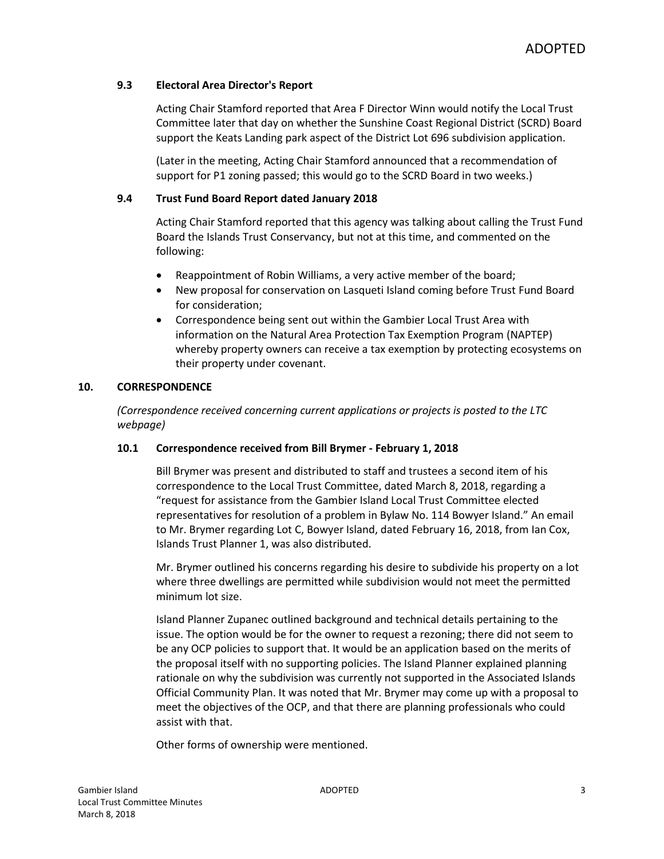## **9.3 Electoral Area Director's Report**

Acting Chair Stamford reported that Area F Director Winn would notify the Local Trust Committee later that day on whether the Sunshine Coast Regional District (SCRD) Board support the Keats Landing park aspect of the District Lot 696 subdivision application.

(Later in the meeting, Acting Chair Stamford announced that a recommendation of support for P1 zoning passed; this would go to the SCRD Board in two weeks.)

## **9.4 Trust Fund Board Report dated January 2018**

Acting Chair Stamford reported that this agency was talking about calling the Trust Fund Board the Islands Trust Conservancy, but not at this time, and commented on the following:

- Reappointment of Robin Williams, a very active member of the board;
- New proposal for conservation on Lasqueti Island coming before Trust Fund Board for consideration;
- Correspondence being sent out within the Gambier Local Trust Area with information on the Natural Area Protection Tax Exemption Program (NAPTEP) whereby property owners can receive a tax exemption by protecting ecosystems on their property under covenant.

## **10. CORRESPONDENCE**

*(Correspondence received concerning current applications or projects is posted to the LTC webpage)*

#### **10.1 Correspondence received from Bill Brymer - February 1, 2018**

Bill Brymer was present and distributed to staff and trustees a second item of his correspondence to the Local Trust Committee, dated March 8, 2018, regarding a "request for assistance from the Gambier Island Local Trust Committee elected representatives for resolution of a problem in Bylaw No. 114 Bowyer Island." An email to Mr. Brymer regarding Lot C, Bowyer Island, dated February 16, 2018, from Ian Cox, Islands Trust Planner 1, was also distributed.

Mr. Brymer outlined his concerns regarding his desire to subdivide his property on a lot where three dwellings are permitted while subdivision would not meet the permitted minimum lot size.

Island Planner Zupanec outlined background and technical details pertaining to the issue. The option would be for the owner to request a rezoning; there did not seem to be any OCP policies to support that. It would be an application based on the merits of the proposal itself with no supporting policies. The Island Planner explained planning rationale on why the subdivision was currently not supported in the Associated Islands Official Community Plan. It was noted that Mr. Brymer may come up with a proposal to meet the objectives of the OCP, and that there are planning professionals who could assist with that.

Other forms of ownership were mentioned.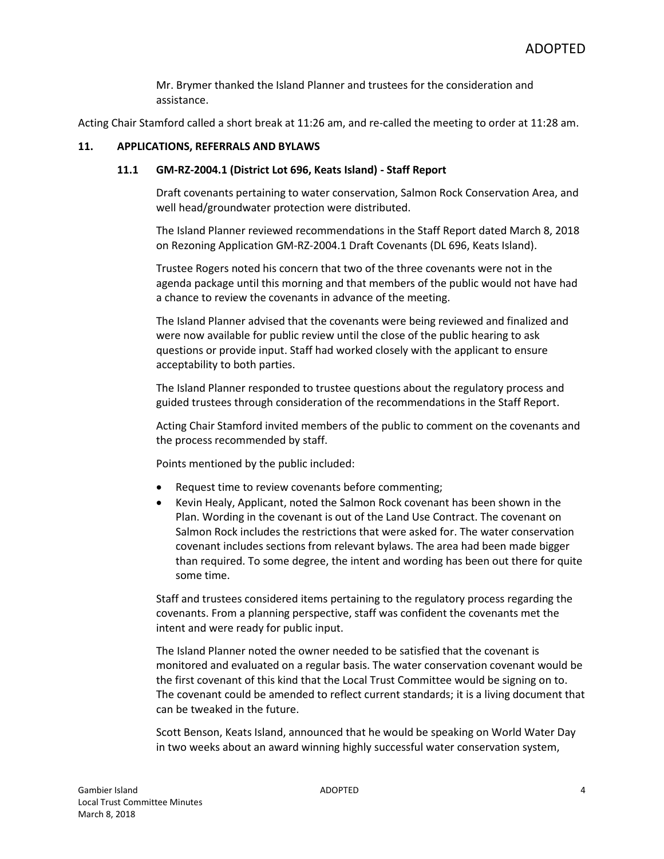Mr. Brymer thanked the Island Planner and trustees for the consideration and assistance.

Acting Chair Stamford called a short break at 11:26 am, and re-called the meeting to order at 11:28 am.

#### **11. APPLICATIONS, REFERRALS AND BYLAWS**

#### **11.1 GM-RZ-2004.1 (District Lot 696, Keats Island) - Staff Report**

Draft covenants pertaining to water conservation, Salmon Rock Conservation Area, and well head/groundwater protection were distributed.

The Island Planner reviewed recommendations in the Staff Report dated March 8, 2018 on Rezoning Application GM-RZ-2004.1 Draft Covenants (DL 696, Keats Island).

Trustee Rogers noted his concern that two of the three covenants were not in the agenda package until this morning and that members of the public would not have had a chance to review the covenants in advance of the meeting.

The Island Planner advised that the covenants were being reviewed and finalized and were now available for public review until the close of the public hearing to ask questions or provide input. Staff had worked closely with the applicant to ensure acceptability to both parties.

The Island Planner responded to trustee questions about the regulatory process and guided trustees through consideration of the recommendations in the Staff Report.

Acting Chair Stamford invited members of the public to comment on the covenants and the process recommended by staff.

Points mentioned by the public included:

- Request time to review covenants before commenting;
- Kevin Healy, Applicant, noted the Salmon Rock covenant has been shown in the Plan. Wording in the covenant is out of the Land Use Contract. The covenant on Salmon Rock includes the restrictions that were asked for. The water conservation covenant includes sections from relevant bylaws. The area had been made bigger than required. To some degree, the intent and wording has been out there for quite some time.

Staff and trustees considered items pertaining to the regulatory process regarding the covenants. From a planning perspective, staff was confident the covenants met the intent and were ready for public input.

The Island Planner noted the owner needed to be satisfied that the covenant is monitored and evaluated on a regular basis. The water conservation covenant would be the first covenant of this kind that the Local Trust Committee would be signing on to. The covenant could be amended to reflect current standards; it is a living document that can be tweaked in the future.

Scott Benson, Keats Island, announced that he would be speaking on World Water Day in two weeks about an award winning highly successful water conservation system,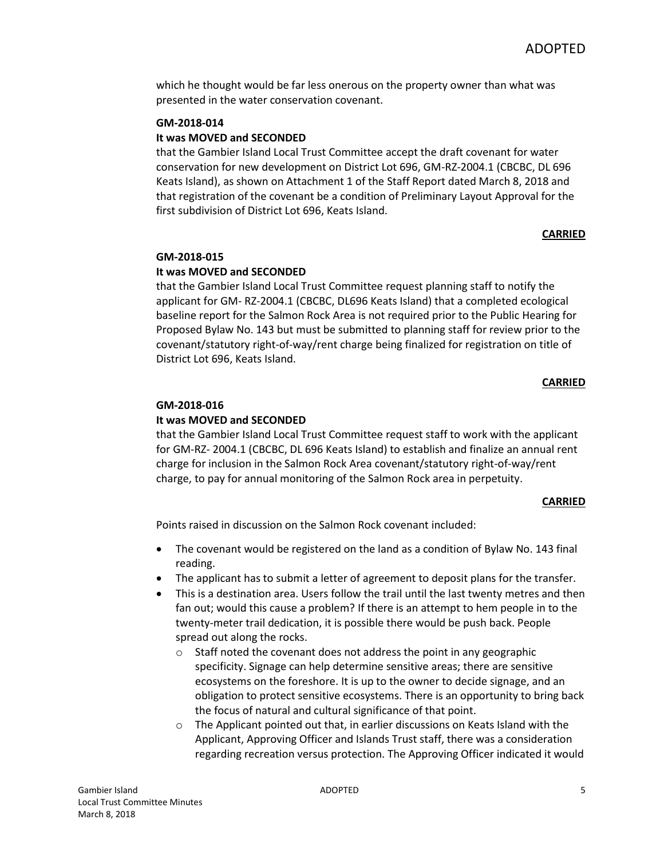which he thought would be far less onerous on the property owner than what was presented in the water conservation covenant.

## **GM-2018-014**

## **It was MOVED and SECONDED**

that the Gambier Island Local Trust Committee accept the draft covenant for water conservation for new development on District Lot 696, GM-RZ-2004.1 (CBCBC, DL 696 Keats Island), as shown on Attachment 1 of the Staff Report dated March 8, 2018 and that registration of the covenant be a condition of Preliminary Layout Approval for the first subdivision of District Lot 696, Keats Island.

#### **CARRIED**

#### **GM-2018-015**

#### **It was MOVED and SECONDED**

that the Gambier Island Local Trust Committee request planning staff to notify the applicant for GM- RZ-2004.1 (CBCBC, DL696 Keats Island) that a completed ecological baseline report for the Salmon Rock Area is not required prior to the Public Hearing for Proposed Bylaw No. 143 but must be submitted to planning staff for review prior to the covenant/statutory right-of-way/rent charge being finalized for registration on title of District Lot 696, Keats Island.

#### **CARRIED**

#### **GM-2018-016**

#### **It was MOVED and SECONDED**

that the Gambier Island Local Trust Committee request staff to work with the applicant for GM-RZ- 2004.1 (CBCBC, DL 696 Keats Island) to establish and finalize an annual rent charge for inclusion in the Salmon Rock Area covenant/statutory right-of-way/rent charge, to pay for annual monitoring of the Salmon Rock area in perpetuity.

#### **CARRIED**

Points raised in discussion on the Salmon Rock covenant included:

- The covenant would be registered on the land as a condition of Bylaw No. 143 final reading.
- The applicant has to submit a letter of agreement to deposit plans for the transfer.
- This is a destination area. Users follow the trail until the last twenty metres and then fan out; would this cause a problem? If there is an attempt to hem people in to the twenty-meter trail dedication, it is possible there would be push back. People spread out along the rocks.
	- $\circ$  Staff noted the covenant does not address the point in any geographic specificity. Signage can help determine sensitive areas; there are sensitive ecosystems on the foreshore. It is up to the owner to decide signage, and an obligation to protect sensitive ecosystems. There is an opportunity to bring back the focus of natural and cultural significance of that point.
	- $\circ$  The Applicant pointed out that, in earlier discussions on Keats Island with the Applicant, Approving Officer and Islands Trust staff, there was a consideration regarding recreation versus protection. The Approving Officer indicated it would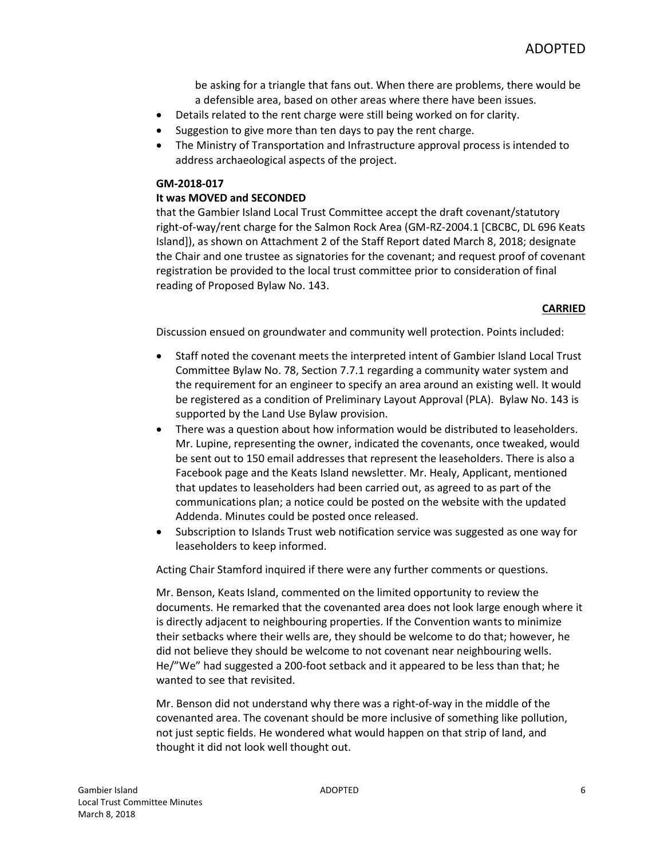be asking for a triangle that fans out. When there are problems, there would be a defensible area, based on other areas where there have been issues.

- Details related to the rent charge were still being worked on for clarity.
- Suggestion to give more than ten days to pay the rent charge.
- The Ministry of Transportation and Infrastructure approval process is intended to address archaeological aspects of the project.

#### **GM-2018-017**

## **It was MOVED and SECONDED**

that the Gambier Island Local Trust Committee accept the draft covenant/statutory right-of-way/rent charge for the Salmon Rock Area (GM-RZ-2004.1 [CBCBC, DL 696 Keats Island]), as shown on Attachment 2 of the Staff Report dated March 8, 2018; designate the Chair and one trustee as signatories for the covenant; and request proof of covenant registration be provided to the local trust committee prior to consideration of final reading of Proposed Bylaw No. 143.

#### **CARRIED**

Discussion ensued on groundwater and community well protection. Points included:

- Staff noted the covenant meets the interpreted intent of Gambier Island Local Trust Committee Bylaw No. 78, Section 7.7.1 regarding a community water system and the requirement for an engineer to specify an area around an existing well. It would be registered as a condition of Preliminary Layout Approval (PLA). Bylaw No. 143 is supported by the Land Use Bylaw provision.
- There was a question about how information would be distributed to leaseholders. Mr. Lupine, representing the owner, indicated the covenants, once tweaked, would be sent out to 150 email addresses that represent the leaseholders. There is also a Facebook page and the Keats Island newsletter. Mr. Healy, Applicant, mentioned that updates to leaseholders had been carried out, as agreed to as part of the communications plan; a notice could be posted on the website with the updated Addenda. Minutes could be posted once released.
- Subscription to Islands Trust web notification service was suggested as one way for leaseholders to keep informed.

Acting Chair Stamford inquired if there were any further comments or questions.

Mr. Benson, Keats Island, commented on the limited opportunity to review the documents. He remarked that the covenanted area does not look large enough where it is directly adjacent to neighbouring properties. If the Convention wants to minimize their setbacks where their wells are, they should be welcome to do that; however, he did not believe they should be welcome to not covenant near neighbouring wells. He/"We" had suggested a 200-foot setback and it appeared to be less than that; he wanted to see that revisited.

Mr. Benson did not understand why there was a right-of-way in the middle of the covenanted area. The covenant should be more inclusive of something like pollution, not just septic fields. He wondered what would happen on that strip of land, and thought it did not look well thought out.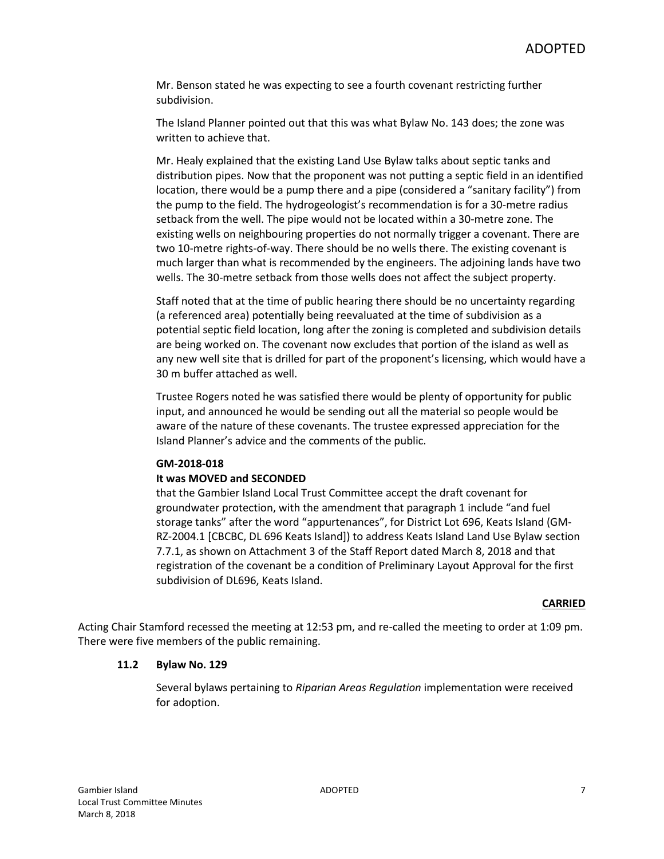Mr. Benson stated he was expecting to see a fourth covenant restricting further subdivision.

The Island Planner pointed out that this was what Bylaw No. 143 does; the zone was written to achieve that.

Mr. Healy explained that the existing Land Use Bylaw talks about septic tanks and distribution pipes. Now that the proponent was not putting a septic field in an identified location, there would be a pump there and a pipe (considered a "sanitary facility") from the pump to the field. The hydrogeologist's recommendation is for a 30-metre radius setback from the well. The pipe would not be located within a 30-metre zone. The existing wells on neighbouring properties do not normally trigger a covenant. There are two 10-metre rights-of-way. There should be no wells there. The existing covenant is much larger than what is recommended by the engineers. The adjoining lands have two wells. The 30-metre setback from those wells does not affect the subject property.

Staff noted that at the time of public hearing there should be no uncertainty regarding (a referenced area) potentially being reevaluated at the time of subdivision as a potential septic field location, long after the zoning is completed and subdivision details are being worked on. The covenant now excludes that portion of the island as well as any new well site that is drilled for part of the proponent's licensing, which would have a 30 m buffer attached as well.

Trustee Rogers noted he was satisfied there would be plenty of opportunity for public input, and announced he would be sending out all the material so people would be aware of the nature of these covenants. The trustee expressed appreciation for the Island Planner's advice and the comments of the public.

#### **GM-2018-018**

#### **It was MOVED and SECONDED**

that the Gambier Island Local Trust Committee accept the draft covenant for groundwater protection, with the amendment that paragraph 1 include "and fuel storage tanks" after the word "appurtenances", for District Lot 696, Keats Island (GM-RZ-2004.1 [CBCBC, DL 696 Keats Island]) to address Keats Island Land Use Bylaw section 7.7.1, as shown on Attachment 3 of the Staff Report dated March 8, 2018 and that registration of the covenant be a condition of Preliminary Layout Approval for the first subdivision of DL696, Keats Island.

#### **CARRIED**

Acting Chair Stamford recessed the meeting at 12:53 pm, and re-called the meeting to order at 1:09 pm. There were five members of the public remaining.

#### **11.2 Bylaw No. 129**

Several bylaws pertaining to *Riparian Areas Regulation* implementation were received for adoption.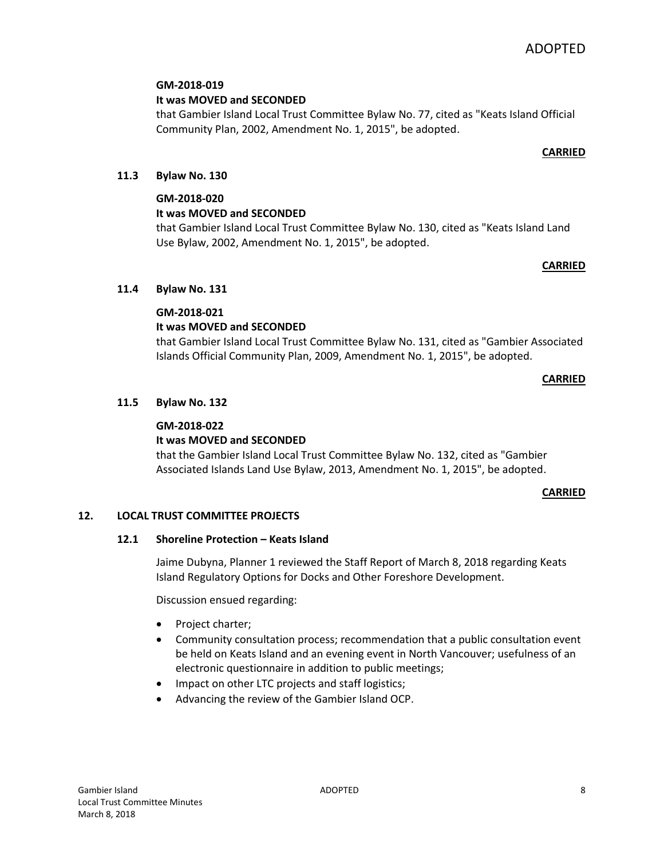## **GM-2018-019**

**It was MOVED and SECONDED**

that Gambier Island Local Trust Committee Bylaw No. 77, cited as "Keats Island Official Community Plan, 2002, Amendment No. 1, 2015", be adopted.

## **CARRIED**

## **11.3 Bylaw No. 130**

## **GM-2018-020**

## **It was MOVED and SECONDED**

that Gambier Island Local Trust Committee Bylaw No. 130, cited as "Keats Island Land Use Bylaw, 2002, Amendment No. 1, 2015", be adopted.

#### **CARRIED**

## **11.4 Bylaw No. 131**

## **GM-2018-021**

## **It was MOVED and SECONDED**

that Gambier Island Local Trust Committee Bylaw No. 131, cited as "Gambier Associated Islands Official Community Plan, 2009, Amendment No. 1, 2015", be adopted.

#### **CARRIED**

## **11.5 Bylaw No. 132**

## **GM-2018-022**

## **It was MOVED and SECONDED**

that the Gambier Island Local Trust Committee Bylaw No. 132, cited as "Gambier Associated Islands Land Use Bylaw, 2013, Amendment No. 1, 2015", be adopted.

#### **CARRIED**

#### **12. LOCAL TRUST COMMITTEE PROJECTS**

#### **12.1 Shoreline Protection – Keats Island**

Jaime Dubyna, Planner 1 reviewed the Staff Report of March 8, 2018 regarding Keats Island Regulatory Options for Docks and Other Foreshore Development.

Discussion ensued regarding:

- Project charter;
- Community consultation process; recommendation that a public consultation event be held on Keats Island and an evening event in North Vancouver; usefulness of an electronic questionnaire in addition to public meetings;
- Impact on other LTC projects and staff logistics;
- Advancing the review of the Gambier Island OCP.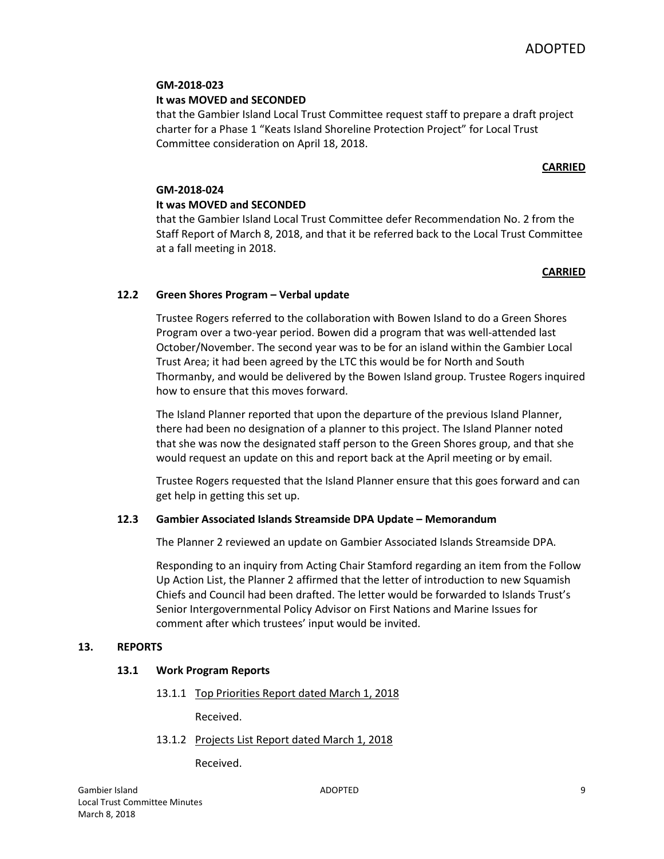## **GM-2018-023**

## **It was MOVED and SECONDED**

that the Gambier Island Local Trust Committee request staff to prepare a draft project charter for a Phase 1 "Keats Island Shoreline Protection Project" for Local Trust Committee consideration on April 18, 2018.

## **CARRIED**

## **GM-2018-024**

## **It was MOVED and SECONDED**

that the Gambier Island Local Trust Committee defer Recommendation No. 2 from the Staff Report of March 8, 2018, and that it be referred back to the Local Trust Committee at a fall meeting in 2018.

## **CARRIED**

## **12.2 Green Shores Program – Verbal update**

Trustee Rogers referred to the collaboration with Bowen Island to do a Green Shores Program over a two-year period. Bowen did a program that was well-attended last October/November. The second year was to be for an island within the Gambier Local Trust Area; it had been agreed by the LTC this would be for North and South Thormanby, and would be delivered by the Bowen Island group. Trustee Rogers inquired how to ensure that this moves forward.

The Island Planner reported that upon the departure of the previous Island Planner, there had been no designation of a planner to this project. The Island Planner noted that she was now the designated staff person to the Green Shores group, and that she would request an update on this and report back at the April meeting or by email.

Trustee Rogers requested that the Island Planner ensure that this goes forward and can get help in getting this set up.

## **12.3 Gambier Associated Islands Streamside DPA Update – Memorandum**

The Planner 2 reviewed an update on Gambier Associated Islands Streamside DPA.

Responding to an inquiry from Acting Chair Stamford regarding an item from the Follow Up Action List, the Planner 2 affirmed that the letter of introduction to new Squamish Chiefs and Council had been drafted. The letter would be forwarded to Islands Trust's Senior Intergovernmental Policy Advisor on First Nations and Marine Issues for comment after which trustees' input would be invited.

## **13. REPORTS**

## **13.1 Work Program Reports**

13.1.1 Top Priorities Report dated March 1, 2018

Received.

13.1.2 Projects List Report dated March 1, 2018

Received.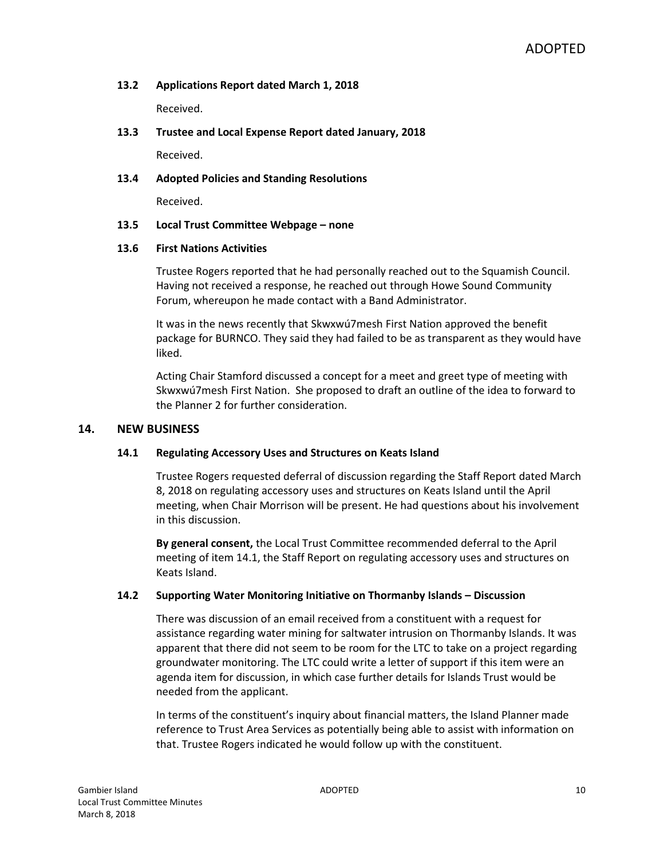## **13.2 Applications Report dated March 1, 2018**

Received.

## **13.3 Trustee and Local Expense Report dated January, 2018**

Received.

#### **13.4 Adopted Policies and Standing Resolutions**

Received.

#### **13.5 Local Trust Committee Webpage – none**

#### **13.6 First Nations Activities**

Trustee Rogers reported that he had personally reached out to the Squamish Council. Having not received a response, he reached out through Howe Sound Community Forum, whereupon he made contact with a Band Administrator.

It was in the news recently that Skwxwú7mesh First Nation approved the benefit package for BURNCO. They said they had failed to be as transparent as they would have liked.

Acting Chair Stamford discussed a concept for a meet and greet type of meeting with Skwxwú7mesh First Nation. She proposed to draft an outline of the idea to forward to the Planner 2 for further consideration.

#### **14. NEW BUSINESS**

#### **14.1 Regulating Accessory Uses and Structures on Keats Island**

Trustee Rogers requested deferral of discussion regarding the Staff Report dated March 8, 2018 on regulating accessory uses and structures on Keats Island until the April meeting, when Chair Morrison will be present. He had questions about his involvement in this discussion.

**By general consent,** the Local Trust Committee recommended deferral to the April meeting of item 14.1, the Staff Report on regulating accessory uses and structures on Keats Island.

#### **14.2 Supporting Water Monitoring Initiative on Thormanby Islands – Discussion**

There was discussion of an email received from a constituent with a request for assistance regarding water mining for saltwater intrusion on Thormanby Islands. It was apparent that there did not seem to be room for the LTC to take on a project regarding groundwater monitoring. The LTC could write a letter of support if this item were an agenda item for discussion, in which case further details for Islands Trust would be needed from the applicant.

In terms of the constituent's inquiry about financial matters, the Island Planner made reference to Trust Area Services as potentially being able to assist with information on that. Trustee Rogers indicated he would follow up with the constituent.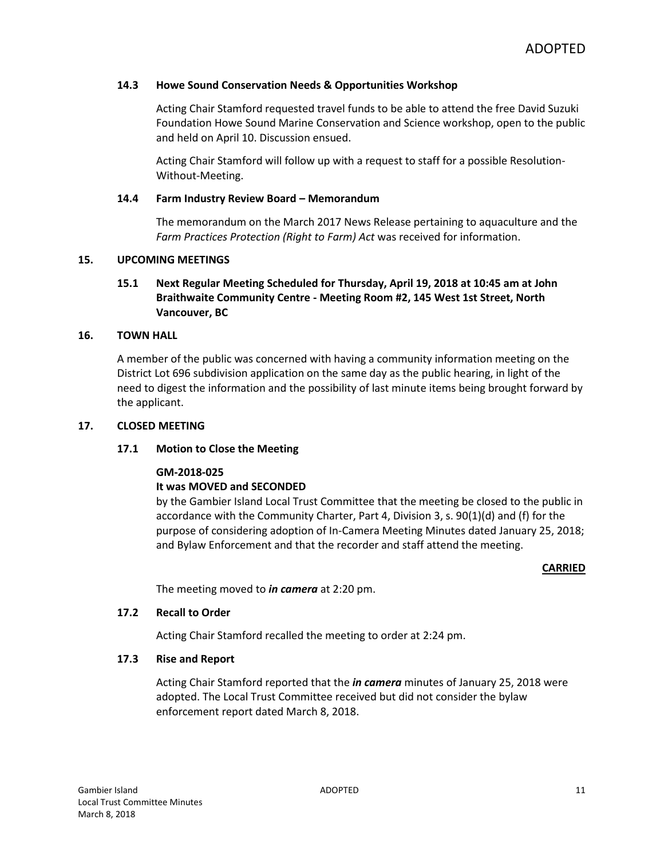#### **14.3 Howe Sound Conservation Needs & Opportunities Workshop**

Acting Chair Stamford requested travel funds to be able to attend the free David Suzuki Foundation Howe Sound Marine Conservation and Science workshop, open to the public and held on April 10. Discussion ensued.

Acting Chair Stamford will follow up with a request to staff for a possible Resolution-Without-Meeting.

#### **14.4 Farm Industry Review Board – Memorandum**

The memorandum on the March 2017 News Release pertaining to aquaculture and the *Farm Practices Protection (Right to Farm) Act* was received for information.

#### **15. UPCOMING MEETINGS**

## **15.1 Next Regular Meeting Scheduled for Thursday, April 19, 2018 at 10:45 am at John Braithwaite Community Centre - Meeting Room #2, 145 West 1st Street, North Vancouver, BC**

#### **16. TOWN HALL**

A member of the public was concerned with having a community information meeting on the District Lot 696 subdivision application on the same day as the public hearing, in light of the need to digest the information and the possibility of last minute items being brought forward by the applicant.

#### **17. CLOSED MEETING**

#### **17.1 Motion to Close the Meeting**

#### **GM-2018-025**

#### **It was MOVED and SECONDED**

by the Gambier Island Local Trust Committee that the meeting be closed to the public in accordance with the Community Charter, Part 4, Division 3, s. 90(1)(d) and (f) for the purpose of considering adoption of In-Camera Meeting Minutes dated January 25, 2018; and Bylaw Enforcement and that the recorder and staff attend the meeting.

#### **CARRIED**

The meeting moved to *in camera* at 2:20 pm.

#### **17.2 Recall to Order**

Acting Chair Stamford recalled the meeting to order at 2:24 pm.

#### **17.3 Rise and Report**

Acting Chair Stamford reported that the *in camera* minutes of January 25, 2018 were adopted. The Local Trust Committee received but did not consider the bylaw enforcement report dated March 8, 2018.